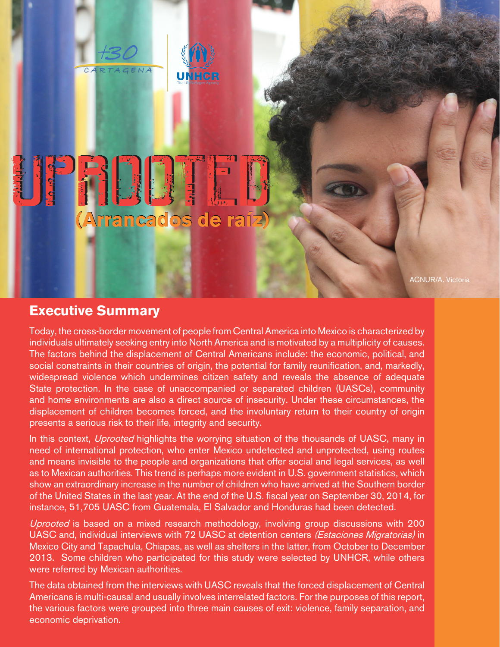

## (Arrancados de raíz)

**UNHCR** 

ACNUR/A. Victoria

## **Executive Summary**

Today, the cross-border movement of people from Central America into Mexico is characterized by individuals ultimately seeking entry into North America and is motivated by a multiplicity of causes. The factors behind the displacement of Central Americans include: the economic, political, and social constraints in their countries of origin, the potential for family reunification, and, markedly, widespread violence which undermines citizen safety and reveals the absence of adequate State protection. In the case of unaccompanied or separated children (UASCs), community and home environments are also a direct source of insecurity. Under these circumstances, the displacement of children becomes forced, and the involuntary return to their country of origin presents a serious risk to their life, integrity and security.

In this context, *Uprooted* highlights the worrying situation of the thousands of UASC, many in need of international protection, who enter Mexico undetected and unprotected, using routes and means invisible to the people and organizations that offer social and legal services, as well as to Mexican authorities. This trend is perhaps more evident in U.S. government statistics, which show an extraordinary increase in the number of children who have arrived at the Southern border of the United States in the last year. At the end of the U.S. fiscal year on September 30, 2014, for instance, 51,705 UASC from Guatemala, El Salvador and Honduras had been detected.

Uprooted is based on a mixed research methodology, involving group discussions with 200 UASC and, individual interviews with 72 UASC at detention centers (Estaciones Migratorias) in Mexico City and Tapachula, Chiapas, as well as shelters in the latter, from October to December 2013. Some children who participated for this study were selected by UNHCR, while others were referred by Mexican authorities.

The data obtained from the interviews with UASC reveals that the forced displacement of Central Americans is multi-causal and usually involves interrelated factors. For the purposes of this report, the various factors were grouped into three main causes of exit: violence, family separation, and economic deprivation.